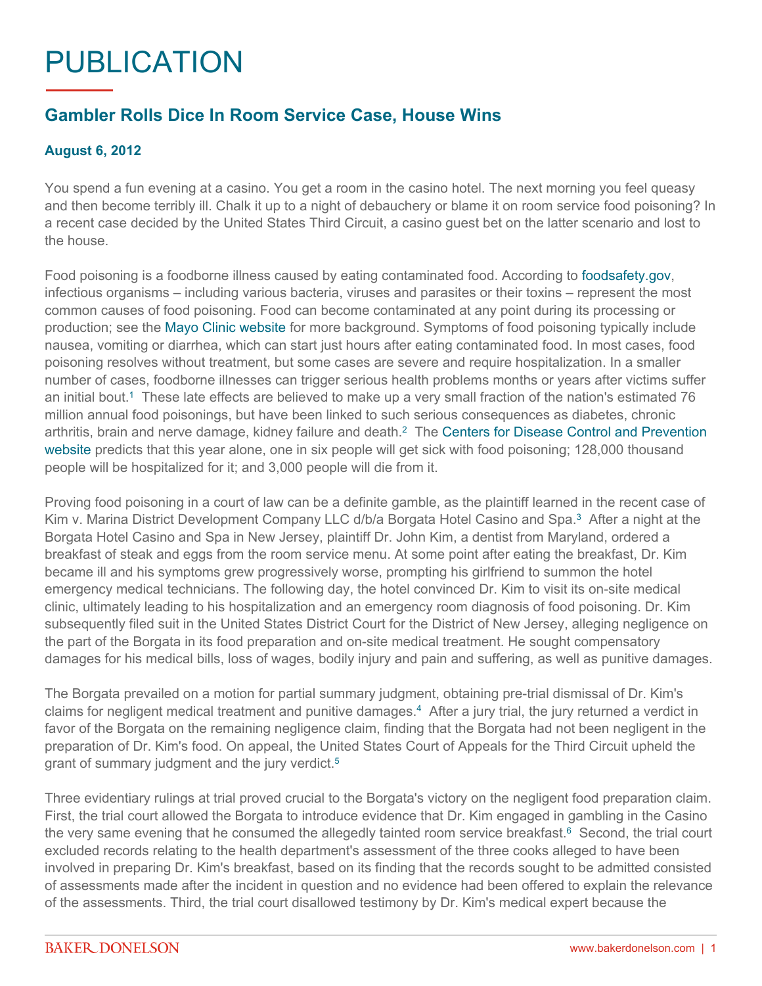# PUBLICATION

## **Gambler Rolls Dice In Room Service Case, House Wins**

## **August 6, 2012**

You spend a fun evening at a casino. You get a room in the casino hotel. The next morning you feel queasy and then become terribly ill. Chalk it up to a night of debauchery or blame it on room service food poisoning? In a recent case decided by the United States Third Circuit, a casino guest bet on the latter scenario and lost to the house.

Food poisoning is a foodborne illness caused by eating contaminated food. According to [foodsafety.gov](http://www.foodsafety.gov/), infectious organisms – including various bacteria, viruses and parasites or their toxins – represent the most common causes of food poisoning. Food can become contaminated at any point during its processing or production; see the [Mayo Clinic website](http://www.mayoclinic.com/) for more background. Symptoms of food poisoning typically include nausea, vomiting or diarrhea, which can start just hours after eating contaminated food. In most cases, food poisoning resolves without treatment, but some cases are severe and require hospitalization. In a smaller number of cases, foodborne illnesses can trigger serious health problems months or years after victims suffer an initial bout.<sup>[1](#page-1-0)</sup> These late effects are believed to make up a very small fraction of the nation's estimated 76 million annual food poisonings, but have been linked to such serious consequences as diabetes, chronic arthritis, brain and nerve damage, kidney failure and death.<sup>[2](#page-1-1)</sup> The Centers for Disease Control and Prevention [website](http://www.cdc.gov/) predicts that this year alone, one in six people will get sick with food poisoning; 128,000 thousand people will be hospitalized for it; and 3,000 people will die from it.

Proving food poisoning in a court of law can be a definite gamble, as the plaintiff learned in the recent case of Kim v. Marina District Development Company LLC d/b/a Borgata Hotel Casino and Spa.<sup>[3](#page-1-2)</sup> After a night at the Borgata Hotel Casino and Spa in New Jersey, plaintiff Dr. John Kim, a dentist from Maryland, ordered a breakfast of steak and eggs from the room service menu. At some point after eating the breakfast, Dr. Kim became ill and his symptoms grew progressively worse, prompting his girlfriend to summon the hotel emergency medical technicians. The following day, the hotel convinced Dr. Kim to visit its on-site medical clinic, ultimately leading to his hospitalization and an emergency room diagnosis of food poisoning. Dr. Kim subsequently filed suit in the United States District Court for the District of New Jersey, alleging negligence on the part of the Borgata in its food preparation and on-site medical treatment. He sought compensatory damages for his medical bills, loss of wages, bodily injury and pain and suffering, as well as punitive damages.

The Borgata prevailed on a motion for partial summary judgment, obtaining pre-trial dismissal of Dr. Kim's claims for negligent medical treatment and punitive damages.<sup>[4](#page-1-3)</sup> After a jury trial, the jury returned a verdict in favor of the Borgata on the remaining negligence claim, finding that the Borgata had not been negligent in the preparation of Dr. Kim's food. On appeal, the United States Court of Appeals for the Third Circuit upheld the grant of summary judgment and the jury verdict.<sup>[5](#page-1-4)</sup>

Three evidentiary rulings at trial proved crucial to the Borgata's victory on the negligent food preparation claim. First, the trial court allowed the Borgata to introduce evidence that Dr. Kim engaged in gambling in the Casino the very same evening that he consumed the allegedly tainted room service breakfast.<sup>[6](#page-1-5)</sup> Second, the trial court excluded records relating to the health department's assessment of the three cooks alleged to have been involved in preparing Dr. Kim's breakfast, based on its finding that the records sought to be admitted consisted of assessments made after the incident in question and no evidence had been offered to explain the relevance of the assessments. Third, the trial court disallowed testimony by Dr. Kim's medical expert because the